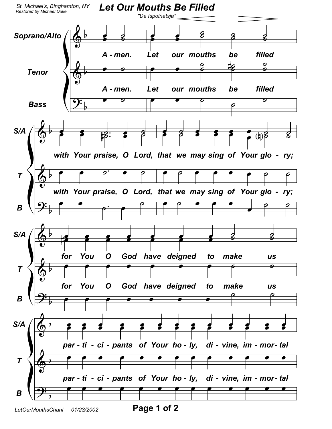